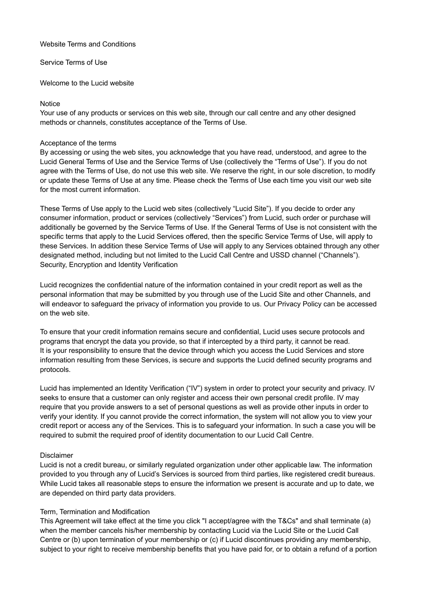#### Website Terms and Conditions

Service Terms of Use

Welcome to the Lucid website

#### **Notice**

Your use of any products or services on this web site, through our call centre and any other designed methods or channels, constitutes acceptance of the Terms of Use.

#### Acceptance of the terms

By accessing or using the web sites, you acknowledge that you have read, understood, and agree to the Lucid General Terms of Use and the Service Terms of Use (collectively the "Terms of Use"). If you do not agree with the Terms of Use, do not use this web site. We reserve the right, in our sole discretion, to modify or update these Terms of Use at any time. Please check the Terms of Use each time you visit our web site for the most current information.

These Terms of Use apply to the Lucid web sites (collectively "Lucid Site"). If you decide to order any consumer information, product or services (collectively "Services") from Lucid, such order or purchase will additionally be governed by the Service Terms of Use. If the General Terms of Use is not consistent with the specific terms that apply to the Lucid Services offered, then the specific Service Terms of Use, will apply to these Services. In addition these Service Terms of Use will apply to any Services obtained through any other designated method, including but not limited to the Lucid Call Centre and USSD channel ("Channels"). Security, Encryption and Identity Verification

Lucid recognizes the confidential nature of the information contained in your credit report as well as the personal information that may be submitted by you through use of the Lucid Site and other Channels, and will endeavor to safeguard the privacy of information you provide to us. Our Privacy Policy can be accessed on the web site.

To ensure that your credit information remains secure and confidential, Lucid uses secure protocols and programs that encrypt the data you provide, so that if intercepted by a third party, it cannot be read. It is your responsibility to ensure that the device through which you access the Lucid Services and store information resulting from these Services, is secure and supports the Lucid defined security programs and protocols.

Lucid has implemented an Identity Verification ("IV") system in order to protect your security and privacy. IV seeks to ensure that a customer can only register and access their own personal credit profile. IV may require that you provide answers to a set of personal questions as well as provide other inputs in order to verify your identity. If you cannot provide the correct information, the system will not allow you to view your credit report or access any of the Services. This is to safeguard your information. In such a case you will be required to submit the required proof of identity documentation to our Lucid Call Centre.

# Disclaimer

Lucid is not a credit bureau, or similarly regulated organization under other applicable law. The information provided to you through any of Lucid's Services is sourced from third parties, like registered credit bureaus. While Lucid takes all reasonable steps to ensure the information we present is accurate and up to date, we are depended on third party data providers.

# Term, Termination and Modification

This Agreement will take effect at the time you click "I accept/agree with the T&Cs" and shall terminate (a) when the member cancels his/her membership by contacting Lucid via the Lucid Site or the Lucid Call Centre or (b) upon termination of your membership or (c) if Lucid discontinues providing any membership, subject to your right to receive membership benefits that you have paid for, or to obtain a refund of a portion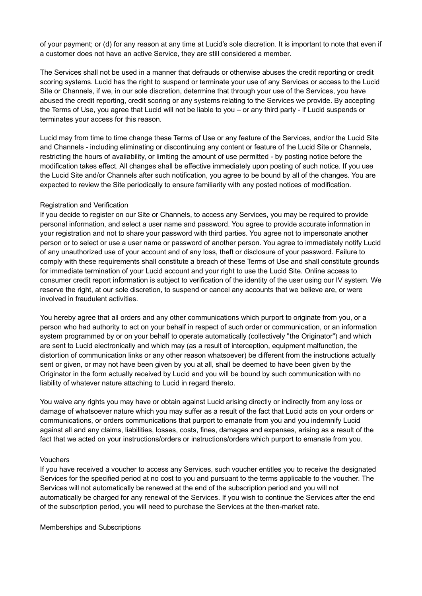of your payment; or (d) for any reason at any time at Lucid's sole discretion. It is important to note that even if a customer does not have an active Service, they are still considered a member.

The Services shall not be used in a manner that defrauds or otherwise abuses the credit reporting or credit scoring systems. Lucid has the right to suspend or terminate your use of any Services or access to the Lucid Site or Channels, if we, in our sole discretion, determine that through your use of the Services, you have abused the credit reporting, credit scoring or any systems relating to the Services we provide. By accepting the Terms of Use, you agree that Lucid will not be liable to you – or any third party - if Lucid suspends or terminates your access for this reason.

Lucid may from time to time change these Terms of Use or any feature of the Services, and/or the Lucid Site and Channels - including eliminating or discontinuing any content or feature of the Lucid Site or Channels, restricting the hours of availability, or limiting the amount of use permitted - by posting notice before the modification takes effect. All changes shall be effective immediately upon posting of such notice. If you use the Lucid Site and/or Channels after such notification, you agree to be bound by all of the changes. You are expected to review the Site periodically to ensure familiarity with any posted notices of modification.

#### Registration and Verification

If you decide to register on our Site or Channels, to access any Services, you may be required to provide personal information, and select a user name and password. You agree to provide accurate information in your registration and not to share your password with third parties. You agree not to impersonate another person or to select or use a user name or password of another person. You agree to immediately notify Lucid of any unauthorized use of your account and of any loss, theft or disclosure of your password. Failure to comply with these requirements shall constitute a breach of these Terms of Use and shall constitute grounds for immediate termination of your Lucid account and your right to use the Lucid Site. Online access to consumer credit report information is subject to verification of the identity of the user using our IV system. We reserve the right, at our sole discretion, to suspend or cancel any accounts that we believe are, or were involved in fraudulent activities.

You hereby agree that all orders and any other communications which purport to originate from you, or a person who had authority to act on your behalf in respect of such order or communication, or an information system programmed by or on your behalf to operate automatically (collectively "the Originator") and which are sent to Lucid electronically and which may (as a result of interception, equipment malfunction, the distortion of communication links or any other reason whatsoever) be different from the instructions actually sent or given, or may not have been given by you at all, shall be deemed to have been given by the Originator in the form actually received by Lucid and you will be bound by such communication with no liability of whatever nature attaching to Lucid in regard thereto.

You waive any rights you may have or obtain against Lucid arising directly or indirectly from any loss or damage of whatsoever nature which you may suffer as a result of the fact that Lucid acts on your orders or communications, or orders communications that purport to emanate from you and you indemnify Lucid against all and any claims, liabilities, losses, costs, fines, damages and expenses, arising as a result of the fact that we acted on your instructions/orders or instructions/orders which purport to emanate from you.

#### Vouchers

If you have received a voucher to access any Services, such voucher entitles you to receive the designated Services for the specified period at no cost to you and pursuant to the terms applicable to the voucher. The Services will not automatically be renewed at the end of the subscription period and you will not automatically be charged for any renewal of the Services. If you wish to continue the Services after the end of the subscription period, you will need to purchase the Services at the then-market rate.

Memberships and Subscriptions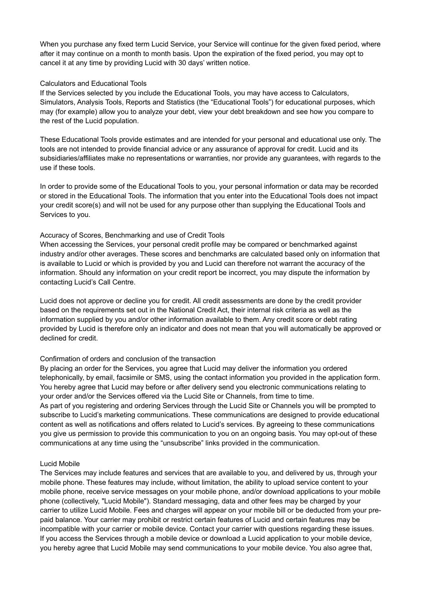When you purchase any fixed term Lucid Service, your Service will continue for the given fixed period, where after it may continue on a month to month basis. Upon the expiration of the fixed period, you may opt to cancel it at any time by providing Lucid with 30 days' written notice.

#### Calculators and Educational Tools

If the Services selected by you include the Educational Tools, you may have access to Calculators, Simulators, Analysis Tools, Reports and Statistics (the "Educational Tools") for educational purposes, which may (for example) allow you to analyze your debt, view your debt breakdown and see how you compare to the rest of the Lucid population.

These Educational Tools provide estimates and are intended for your personal and educational use only. The tools are not intended to provide financial advice or any assurance of approval for credit. Lucid and its subsidiaries/affiliates make no representations or warranties, nor provide any guarantees, with regards to the use if these tools.

In order to provide some of the Educational Tools to you, your personal information or data may be recorded or stored in the Educational Tools. The information that you enter into the Educational Tools does not impact your credit score(s) and will not be used for any purpose other than supplying the Educational Tools and Services to you.

#### Accuracy of Scores, Benchmarking and use of Credit Tools

When accessing the Services, your personal credit profile may be compared or benchmarked against industry and/or other averages. These scores and benchmarks are calculated based only on information that is available to Lucid or which is provided by you and Lucid can therefore not warrant the accuracy of the information. Should any information on your credit report be incorrect, you may dispute the information by contacting Lucid's Call Centre.

Lucid does not approve or decline you for credit. All credit assessments are done by the credit provider based on the requirements set out in the National Credit Act, their internal risk criteria as well as the information supplied by you and/or other information available to them. Any credit score or debt rating provided by Lucid is therefore only an indicator and does not mean that you will automatically be approved or declined for credit.

#### Confirmation of orders and conclusion of the transaction

By placing an order for the Services, you agree that Lucid may deliver the information you ordered telephonically, by email, facsimile or SMS, using the contact information you provided in the application form. You hereby agree that Lucid may before or after delivery send you electronic communications relating to your order and/or the Services offered via the Lucid Site or Channels, from time to time. As part of you registering and ordering Services through the Lucid Site or Channels you will be prompted to subscribe to Lucid's marketing communications. These communications are designed to provide educational content as well as notifications and offers related to Lucid's services. By agreeing to these communications you give us permission to provide this communication to you on an ongoing basis. You may opt-out of these communications at any time using the "unsubscribe" links provided in the communication.

#### Lucid Mobile

The Services may include features and services that are available to you, and delivered by us, through your mobile phone. These features may include, without limitation, the ability to upload service content to your mobile phone, receive service messages on your mobile phone, and/or download applications to your mobile phone (collectively, "Lucid Mobile"). Standard messaging, data and other fees may be charged by your carrier to utilize Lucid Mobile. Fees and charges will appear on your mobile bill or be deducted from your prepaid balance. Your carrier may prohibit or restrict certain features of Lucid and certain features may be incompatible with your carrier or mobile device. Contact your carrier with questions regarding these issues. If you access the Services through a mobile device or download a Lucid application to your mobile device, you hereby agree that Lucid Mobile may send communications to your mobile device. You also agree that,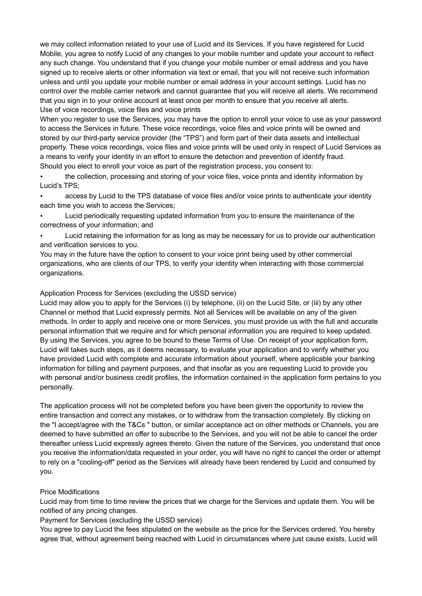we may collect information related to your use of Lucid and its Services. If you have registered for Lucid Mobile, you agree to notify Lucid of any changes to your mobile number and update your account to reflect any such change. You understand that if you change your mobile number or email address and you have signed up to receive alerts or other information via text or email, that you will not receive such information unless and until you update your mobile number or email address in your account settings. Lucid has no control over the mobile carrier network and cannot guarantee that you will receive all alerts. We recommend that you sign in to your online account at least once per month to ensure that you receive all alerts. Use of voice recordings, voice files and voice prints

When you register to use the Services, you may have the option to enroll your voice to use as your password to access the Services in future. These voice recordings, voice files and voice prints will be owned and stored by our third-party service provider (the "TPS") and form part of their data assets and intellectual property. These voice recordings, voice files and voice prints will be used only in respect of Lucid Services as a means to verify your identity in an effort to ensure the detection and prevention of identify fraud. Should you elect to enroll your voice as part of the registration process, you consent to:

• the collection, processing and storing of your voice files, voice prints and identity information by Lucid's TPS;

• access by Lucid to the TPS database of voice files and/or voice prints to authenticate your identity each time you wish to access the Services;

• Lucid periodically requesting updated information from you to ensure the maintenance of the correctness of your information; and

• Lucid retaining the information for as long as may be necessary for us to provide our authentication and verification services to you.

You may in the future have the option to consent to your voice print being used by other commercial organizations, who are clients of our TPS, to verify your identity when interacting with those commercial organizations.

# Application Process for Services (excluding the USSD service)

Lucid may allow you to apply for the Services (i) by telephone, (ii) on the Lucid Site, or (iii) by any other Channel or method that Lucid expressly permits. Not all Services will be available on any of the given methods. In order to apply and receive one or more Services, you must provide us with the full and accurate personal information that we require and for which personal information you are required to keep updated. By using the Services, you agree to be bound to these Terms of Use. On receipt of your application form, Lucid will takes such steps, as it deems necessary, to evaluate your application and to verify whether you have provided Lucid with complete and accurate information about yourself, where applicable your banking information for billing and payment purposes, and that insofar as you are requesting Lucid to provide you with personal and/or business credit profiles, the information contained in the application form pertains to you personally.

The application process will not be completed before you have been given the opportunity to review the entire transaction and correct any mistakes, or to withdraw from the transaction completely. By clicking on the "I accept/agree with the T&Cs " button, or similar acceptance act on other methods or Channels, you are deemed to have submitted an offer to subscribe to the Services, and you will not be able to cancel the order thereafter unless Lucid expressly agrees thereto. Given the nature of the Services, you understand that once you receive the information/data requested in your order, you will have no right to cancel the order or attempt to rely on a "cooling-off" period as the Services will already have been rendered by Lucid and consumed by you.

# Price Modifications

Lucid may from time to time review the prices that we charge for the Services and update them. You will be notified of any pricing changes.

# Payment for Services (excluding the USSD service)

You agree to pay Lucid the fees stipulated on the website as the price for the Services ordered. You hereby agree that, without agreement being reached with Lucid in circumstances where just cause exists, Lucid will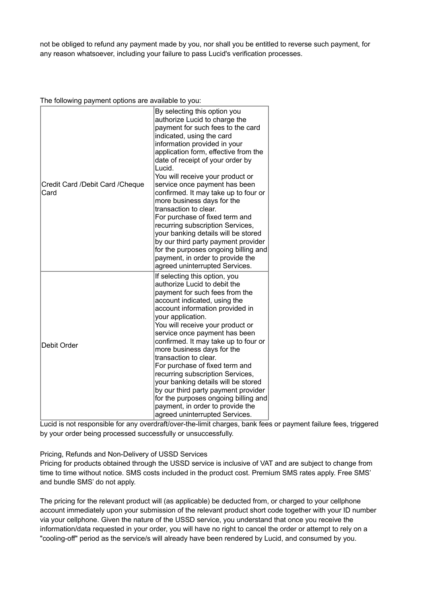not be obliged to refund any payment made by you, nor shall you be entitled to reverse such payment, for any reason whatsoever, including your failure to pass Lucid's verification processes.

The following payment options are available to you:

| Credit Card /Debit Card /Cheque<br>Card | By selecting this option you<br>authorize Lucid to charge the<br>payment for such fees to the card<br>indicated, using the card<br>information provided in your<br>application form, effective from the<br>date of receipt of your order by<br>Lucid.<br>You will receive your product or<br>service once payment has been<br>confirmed. It may take up to four or<br>more business days for the<br>transaction to clear.<br>For purchase of fixed term and<br>recurring subscription Services,<br>your banking details will be stored<br>by our third party payment provider<br>for the purposes ongoing billing and<br>payment, in order to provide the<br>agreed uninterrupted Services. |
|-----------------------------------------|---------------------------------------------------------------------------------------------------------------------------------------------------------------------------------------------------------------------------------------------------------------------------------------------------------------------------------------------------------------------------------------------------------------------------------------------------------------------------------------------------------------------------------------------------------------------------------------------------------------------------------------------------------------------------------------------|
| Debit Order                             | If selecting this option, you<br>authorize Lucid to debit the<br>payment for such fees from the<br>account indicated, using the<br>account information provided in<br>your application.<br>You will receive your product or<br>service once payment has been<br>confirmed. It may take up to four or<br>more business days for the<br>transaction to clear.<br>For purchase of fixed term and<br>recurring subscription Services,<br>your banking details will be stored<br>by our third party payment provider<br>for the purposes ongoing billing and<br>payment, in order to provide the<br>agreed uninterrupted Services.                                                               |

Lucid is not responsible for any overdraft/over-the-limit charges, bank fees or payment failure fees, triggered by your order being processed successfully or unsuccessfully.

Pricing, Refunds and Non-Delivery of USSD Services

Pricing for products obtained through the USSD service is inclusive of VAT and are subject to change from time to time without notice. SMS costs included in the product cost. Premium SMS rates apply. Free SMS' and bundle SMS' do not apply.

The pricing for the relevant product will (as applicable) be deducted from, or charged to your cellphone account immediately upon your submission of the relevant product short code together with your ID number via your cellphone. Given the nature of the USSD service, you understand that once you receive the information/data requested in your order, you will have no right to cancel the order or attempt to rely on a "cooling-off" period as the service/s will already have been rendered by Lucid, and consumed by you.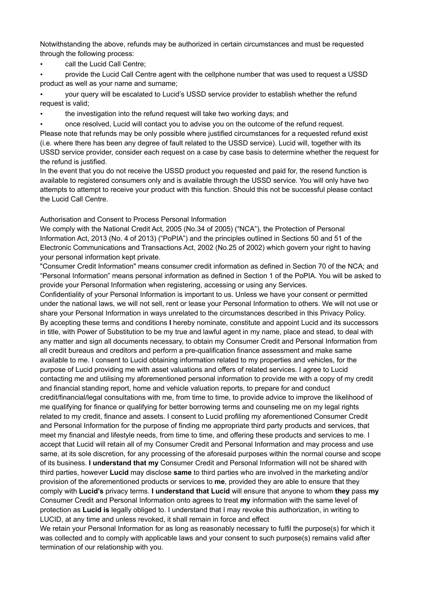Notwithstanding the above, refunds may be authorized in certain circumstances and must be requested through the following process:

call the Lucid Call Centre;

• provide the Lucid Call Centre agent with the cellphone number that was used to request a USSD product as well as your name and surname;

• your query will be escalated to Lucid's USSD service provider to establish whether the refund request is valid;

• the investigation into the refund request will take two working days; and

• once resolved, Lucid will contact you to advise you on the outcome of the refund request. Please note that refunds may be only possible where justified circumstances for a requested refund exist (i.e. where there has been any degree of fault related to the USSD service). Lucid will, together with its USSD service provider, consider each request on a case by case basis to determine whether the request for the refund is justified.

In the event that you do not receive the USSD product you requested and paid for, the resend function is available to registered consumers only and is available through the USSD service. You will only have two attempts to attempt to receive your product with this function. Should this not be successful please contact the Lucid Call Centre.

# Authorisation and Consent to Process Personal Information

We comply with the National Credit Act, 2005 (No.34 of 2005) ("NCA"), the Protection of Personal Information Act, 2013 (No. 4 of 2013) ("PoPIA") and the principles outlined in Sections 50 and 51 of the Electronic Communications and Transactions Act, 2002 (No.25 of 2002) which govern your right to having your personal information kept private.

"Consumer Credit Information" means consumer credit information as defined in Section 70 of the NCA; and "Personal Information" means personal information as defined in Section 1 of the PoPIA. You will be asked to provide your Personal Information when registering, accessing or using any Services.

Confidentiality of your Personal Information is important to us. Unless we have your consent or permitted under the national laws, we will not sell, rent or lease your Personal Information to others. We will not use or share your Personal Information in ways unrelated to the circumstances described in this Privacy Policy. By accepting these terms and conditions **I** hereby nominate, constitute and appoint Lucid and its successors in title, with Power of Substitution to be my true and lawful agent in my name, place and stead, to deal with any matter and sign all documents necessary, to obtain my Consumer Credit and Personal Information from all credit bureaus and creditors and perform a pre-qualification finance assessment and make same available to me. I consent to Lucid obtaining information related to my properties and vehicles, for the purpose of Lucid providing me with asset valuations and offers of related services. I agree to Lucid contacting me and utilising my aforementioned personal information to provide me with a copy of my credit and financial standing report, home and vehicle valuation reports, to prepare for and conduct credit/financial/legal consultations with me, from time to time, to provide advice to improve the likelihood of me qualifying for finance or qualifying for better borrowing terms and counseling me on my legal rights related to my credit, finance and assets. I consent to Lucid profiling my aforementioned Consumer Credit and Personal Information for the purpose of finding me appropriate third party products and services, that meet my financial and lifestyle needs, from time to time, and offering these products and services to me. I accept that Lucid will retain all of my Consumer Credit and Personal Information and may process and use same, at its sole discretion, for any processing of the aforesaid purposes within the normal course and scope of its business. **I understand that my** Consumer Credit and Personal Information will not be shared with third parties, however **Lucid** may disclose **same** to third parties who are involved in the marketing and/or provision of the aforementioned products or services to **me**, provided they are able to ensure that they comply with **Lucid's** privacy terms. **I understand that Lucid** will ensure that anyone to whom **they** pass **my**  Consumer Credit and Personal Information onto agrees to treat **my** information with the same level of protection as **Lucid is** legally obliged to. I understand that I may revoke this authorization, in writing to LUCID, at any time and unless revoked, it shall remain in force and effect

We retain your Personal Information for as long as reasonably necessary to fulfil the purpose(s) for which it was collected and to comply with applicable laws and your consent to such purpose(s) remains valid after termination of our relationship with you.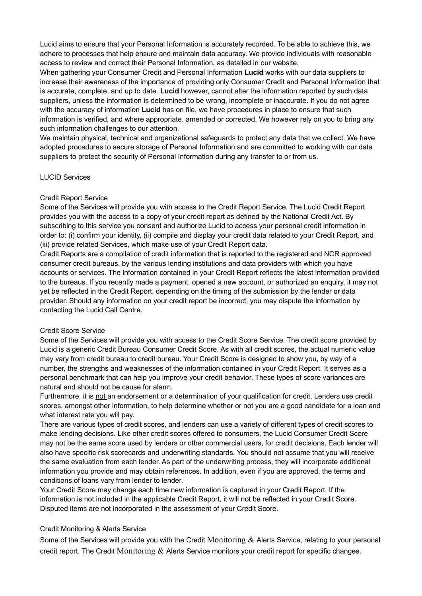Lucid aims to ensure that your Personal Information is accurately recorded. To be able to achieve this, we adhere to processes that help ensure and maintain data accuracy. We provide individuals with reasonable access to review and correct their Personal Information, as detailed in our website.

When gathering your Consumer Credit and Personal Information **Lucid** works with our data suppliers to increase their awareness of the importance of providing only Consumer Credit and Personal Information that is accurate, complete, and up to date. **Lucid** however, cannot alter the information reported by such data suppliers, unless the information is determined to be wrong, incomplete or inaccurate. If you do not agree with the accuracy of information **Lucid** has on file, we have procedures in place to ensure that such information is verified, and where appropriate, amended or corrected. We however rely on you to bring any such information challenges to our attention.

We maintain physical, technical and organizational safeguards to protect any data that we collect. We have adopted procedures to secure storage of Personal Information and are committed to working with our data suppliers to protect the security of Personal Information during any transfer to or from us.

# LUCID Services

#### Credit Report Service

Some of the Services will provide you with access to the Credit Report Service. The Lucid Credit Report provides you with the access to a copy of your credit report as defined by the National Credit Act. By subscribing to this service you consent and authorize Lucid to access your personal credit information in order to: (i) confirm your identity, (ii) compile and display your credit data related to your Credit Report, and (iii) provide related Services, which make use of your Credit Report data.

Credit Reports are a compilation of credit information that is reported to the registered and NCR approved consumer credit bureaus, by the various lending institutions and data providers with which you have accounts or services. The information contained in your Credit Report reflects the latest information provided to the bureaus. If you recently made a payment, opened a new account, or authorized an enquiry, it may not yet be reflected in the Credit Report, depending on the timing of the submission by the lender or data provider. Should any information on your credit report be incorrect, you may dispute the information by contacting the Lucid Call Centre.

# Credit Score Service

Some of the Services will provide you with access to the Credit Score Service. The credit score provided by Lucid is a generic Credit Bureau Consumer Credit Score. As with all credit scores, the actual numeric value may vary from credit bureau to credit bureau. Your Credit Score is designed to show you, by way of a number, the strengths and weaknesses of the information contained in your Credit Report. It serves as a personal benchmark that can help you improve your credit behavior. These types of score variances are natural and should not be cause for alarm.

Furthermore, it is not an endorsement or a determination of your qualification for credit. Lenders use credit scores, amongst other information, to help determine whether or not you are a good candidate for a loan and what interest rate you will pay.

There are various types of credit scores, and lenders can use a variety of different types of credit scores to make lending decisions. Like other credit scores offered to consumers, the Lucid Consumer Credit Score may not be the same score used by lenders or other commercial users, for credit decisions. Each lender will also have specific risk scorecards and underwriting standards. You should not assume that you will receive the same evaluation from each lender. As part of the underwriting process, they will incorporate additional information you provide and may obtain references. In addition, even if you are approved, the terms and conditions of loans vary from lender to lender.

Your Credit Score may change each time new information is captured in your Credit Report. If the information is not included in the applicable Credit Report, it will not be reflected in your Credit Score. Disputed items are not incorporated in the assessment of your Credit Score.

# Credit Monitoring & Alerts Service

Some of the Services will provide you with the Credit Monitoring & Alerts Service, relating to your personal credit report. The Credit Monitoring  $\&$  Alerts Service monitors your credit report for specific changes.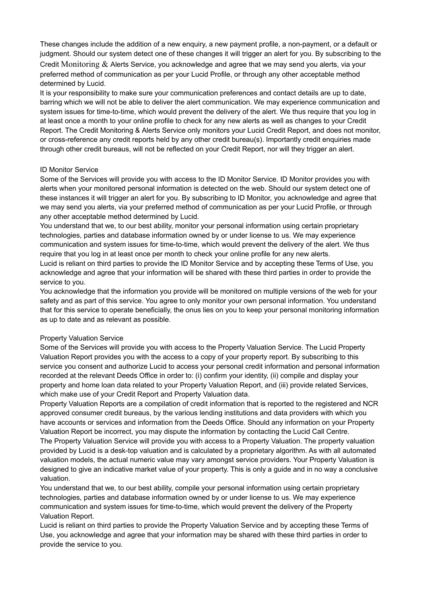These changes include the addition of a new enquiry, a new payment profile, a non-payment, or a default or judgment. Should our system detect one of these changes it will trigger an alert for you. By subscribing to the Credit Monitoring & Alerts Service, you acknowledge and agree that we may send you alerts, via your preferred method of communication as per your Lucid Profile, or through any other acceptable method determined by Lucid.

It is your responsibility to make sure your communication preferences and contact details are up to date, barring which we will not be able to deliver the alert communication. We may experience communication and system issues for time-to-time, which would prevent the delivery of the alert. We thus require that you log in at least once a month to your online profile to check for any new alerts as well as changes to your Credit Report. The Credit Monitoring & Alerts Service only monitors your Lucid Credit Report, and does not monitor, or cross-reference any credit reports held by any other credit bureau(s). Importantly credit enquiries made through other credit bureaus, will not be reflected on your Credit Report, nor will they trigger an alert.

# ID Monitor Service

Some of the Services will provide you with access to the ID Monitor Service. ID Monitor provides you with alerts when your monitored personal information is detected on the web. Should our system detect one of these instances it will trigger an alert for you. By subscribing to ID Monitor, you acknowledge and agree that we may send you alerts, via your preferred method of communication as per your Lucid Profile, or through any other acceptable method determined by Lucid.

You understand that we, to our best ability, monitor your personal information using certain proprietary technologies, parties and database information owned by or under license to us. We may experience communication and system issues for time-to-time, which would prevent the delivery of the alert. We thus require that you log in at least once per month to check your online profile for any new alerts.

Lucid is reliant on third parties to provide the ID Monitor Service and by accepting these Terms of Use, you acknowledge and agree that your information will be shared with these third parties in order to provide the service to you.

You acknowledge that the information you provide will be monitored on multiple versions of the web for your safety and as part of this service. You agree to only monitor your own personal information. You understand that for this service to operate beneficially, the onus lies on you to keep your personal monitoring information as up to date and as relevant as possible.

# Property Valuation Service

Some of the Services will provide you with access to the Property Valuation Service. The Lucid Property Valuation Report provides you with the access to a copy of your property report. By subscribing to this service you consent and authorize Lucid to access your personal credit information and personal information recorded at the relevant Deeds Office in order to: (i) confirm your identity, (ii) compile and display your property and home loan data related to your Property Valuation Report, and (iii) provide related Services, which make use of your Credit Report and Property Valuation data.

Property Valuation Reports are a compilation of credit information that is reported to the registered and NCR approved consumer credit bureaus, by the various lending institutions and data providers with which you have accounts or services and information from the Deeds Office. Should any information on your Property Valuation Report be incorrect, you may dispute the information by contacting the Lucid Call Centre.

The Property Valuation Service will provide you with access to a Property Valuation. The property valuation provided by Lucid is a desk-top valuation and is calculated by a proprietary algorithm. As with all automated valuation models, the actual numeric value may vary amongst service providers. Your Property Valuation is designed to give an indicative market value of your property. This is only a guide and in no way a conclusive valuation.

You understand that we, to our best ability, compile your personal information using certain proprietary technologies, parties and database information owned by or under license to us. We may experience communication and system issues for time-to-time, which would prevent the delivery of the Property Valuation Report.

Lucid is reliant on third parties to provide the Property Valuation Service and by accepting these Terms of Use, you acknowledge and agree that your information may be shared with these third parties in order to provide the service to you.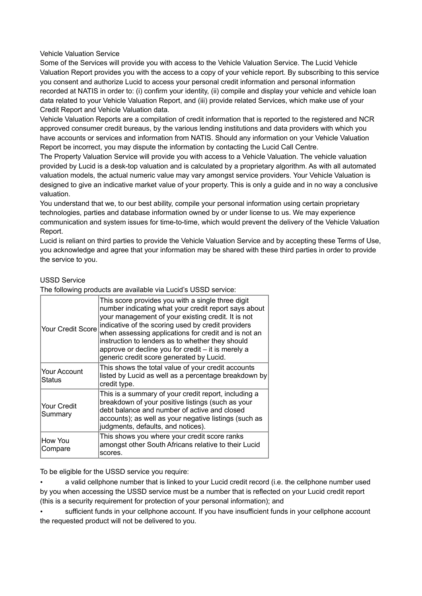Vehicle Valuation Service

Some of the Services will provide you with access to the Vehicle Valuation Service. The Lucid Vehicle Valuation Report provides you with the access to a copy of your vehicle report. By subscribing to this service you consent and authorize Lucid to access your personal credit information and personal information recorded at NATIS in order to: (i) confirm your identity, (ii) compile and display your vehicle and vehicle loan data related to your Vehicle Valuation Report, and (iii) provide related Services, which make use of your Credit Report and Vehicle Valuation data.

Vehicle Valuation Reports are a compilation of credit information that is reported to the registered and NCR approved consumer credit bureaus, by the various lending institutions and data providers with which you have accounts or services and information from NATIS. Should any information on your Vehicle Valuation Report be incorrect, you may dispute the information by contacting the Lucid Call Centre.

The Property Valuation Service will provide you with access to a Vehicle Valuation. The vehicle valuation provided by Lucid is a desk-top valuation and is calculated by a proprietary algorithm. As with all automated valuation models, the actual numeric value may vary amongst service providers. Your Vehicle Valuation is designed to give an indicative market value of your property. This is only a guide and in no way a conclusive valuation.

You understand that we, to our best ability, compile your personal information using certain proprietary technologies, parties and database information owned by or under license to us. We may experience communication and system issues for time-to-time, which would prevent the delivery of the Vehicle Valuation Report.

Lucid is reliant on third parties to provide the Vehicle Valuation Service and by accepting these Terms of Use, you acknowledge and agree that your information may be shared with these third parties in order to provide the service to you.

# USSD Service

The following products are available via Lucid's USSD service:

| <b>Your Credit Score</b> | This score provides you with a single three digit<br>number indicating what your credit report says about<br>your management of your existing credit. It is not<br>indicative of the scoring used by credit providers<br>when assessing applications for credit and is not an<br>instruction to lenders as to whether they should<br>approve or decline you for credit - it is merely a<br>generic credit score generated by Lucid. |
|--------------------------|-------------------------------------------------------------------------------------------------------------------------------------------------------------------------------------------------------------------------------------------------------------------------------------------------------------------------------------------------------------------------------------------------------------------------------------|
| Your Account<br>Status   | This shows the total value of your credit accounts<br>listed by Lucid as well as a percentage breakdown by<br>credit type.                                                                                                                                                                                                                                                                                                          |
| Your Credit<br>Summary   | This is a summary of your credit report, including a<br>breakdown of your positive listings (such as your<br>debt balance and number of active and closed<br>accounts); as well as your negative listings (such as<br>judgments, defaults, and notices).                                                                                                                                                                            |
| How You<br>Compare       | This shows you where your credit score ranks<br>amongst other South Africans relative to their Lucid<br>scores.                                                                                                                                                                                                                                                                                                                     |

To be eligible for the USSD service you require:

• a valid cellphone number that is linked to your Lucid credit record (i.e. the cellphone number used by you when accessing the USSD service must be a number that is reflected on your Lucid credit report (this is a security requirement for protection of your personal information); and

• sufficient funds in your cellphone account. If you have insufficient funds in your cellphone account the requested product will not be delivered to you.